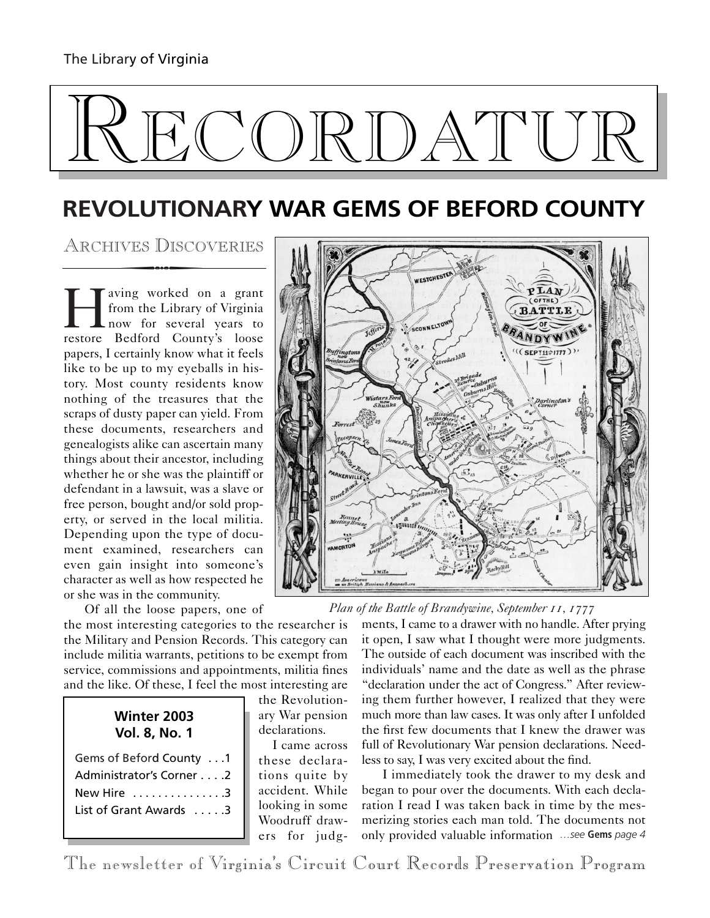# $\mathbb{L}$  and  $\mathbb{C}$

# **REVOLUTIONARY WAR GEMS OF BEFORD COUNTY**<br>ARCHIVES DISCOVERIES WARE **ARCHIVES**

ARCHIVES DISCOVERIES

I aving worked on a grant<br>from the Library of Virginia<br>now for several years to<br>restore Bedford County's loose from the Library of Virginia now for several years to restore Bedford County's loose papers, I certainly know what it feels like to be up to my eyeballs in history. Most county residents know nothing of the treasures that the scraps of dusty paper can yield. From these documents, researchers and genealogists alike can ascertain many things about their ancestor, including whether he or she was the plaintiff or defendant in a lawsuit, was a slave or free person, bought and/or sold property, or served in the local militia. Depending upon the type of document examined, researchers can even gain insight into someone's character as well as how respected he or she was in the community.

Of all the loose papers, one of

the most interesting categories to the researcher is the Military and Pension Records. This category can include militia warrants, petitions to be exempt from service, commissions and appointments, militia fines and the like. Of these, I feel the most interesting are

| Winter 2003   |  |
|---------------|--|
| Vol. 8, No. 1 |  |

| Gems of Beford County 1  |
|--------------------------|
| Administrator's Corner 2 |
| New Hire $\ldots$ , 3    |
| List of Grant Awards 3   |
|                          |

the Revolutionary War pension declarations.

I came across these declarations quite by accident. While looking in some Woodruff drawers for judg-



*Plan of the Battle of Brandywine, September 11, 1777*

ments, I came to a drawer with no handle. After prying it open, I saw what I thought were more judgments. The outside of each document was inscribed with the individuals' name and the date as well as the phrase "declaration under the act of Congress." After reviewing them further however, I realized that they were much more than law cases. It was only after I unfolded the first few documents that I knew the drawer was full of Revolutionary War pension declarations. Needless to say, I was very excited about the find.

I immediately took the drawer to my desk and began to pour over the documents. With each declaration I read I was taken back in time by the mesmerizing stories each man told. The documents not only provided valuable information *…see* **Gems** *page 4*

The newsletter of Virginia's Circuit Court Records Preservation Program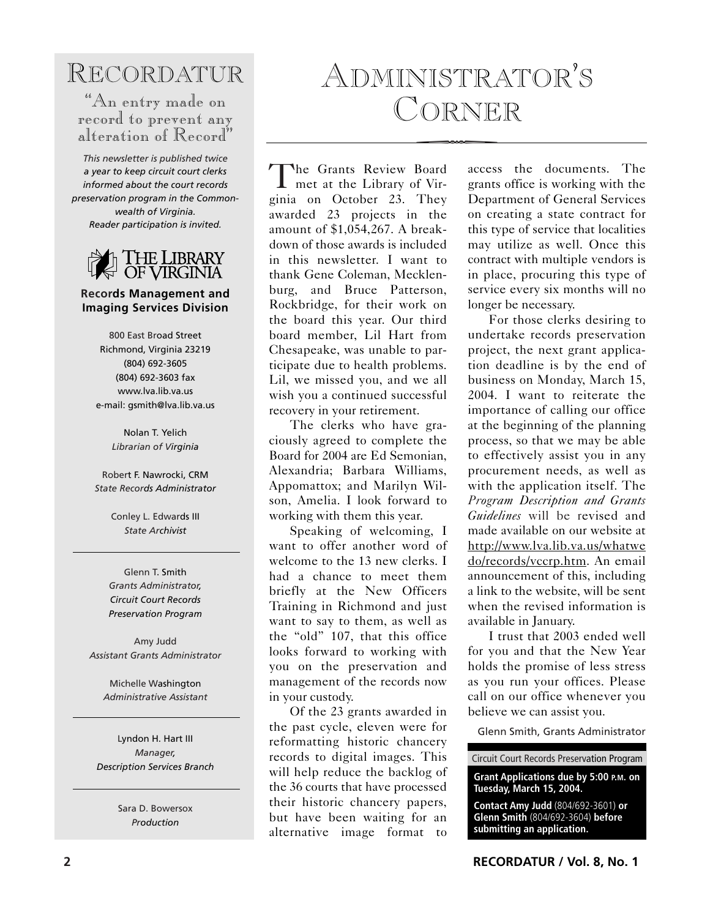## RECORDATUR

### "An entry made on record to prevent any alteration of Record"

*This newsletter is published twice a year to keep circuit court clerks informed about the court records preservation program in the Commonwealth of Virginia. Reader participation is invited.*



#### **Records Management and Imaging Services Division**

800 East Broad Street Richmond, Virginia 23219 (804) 692-3605 (804) 692-3603 fax www.lva.lib.va.us e-mail: gsmith@lva.lib.va.us

> Nolan T. Yelich *Librarian of Virginia*

Robert F. Nawrocki, CRM *State Records Administrator*

> Conley L. Edwards III *State Archivist*

Glenn T. Smith *Grants Administrator, Circuit Court Records Preservation Program*

Amy Judd *Assistant Grants Administrator*

Michelle Washington *Administrative Assistant*

Lyndon H. Hart III *Manager, Description Services Branch*

> Sara D. Bowersox *Production*

## ADMINISTRATOR'S CORNER

The Grants Review Board<br>
met at the Library of Virginia on October 23. They met at the Library of Vir awarded 23 projects in the amount of \$1,054,267. A breakdown of those awards is included in this newsletter. I want to thank Gene Coleman, Mecklenburg, and Bruce Patterson, Rockbridge, for their work on the board this year. Our third board member, Lil Hart from Chesapeake, was unable to participate due to health problems. Lil, we missed you, and we all wish you a continued successful recovery in your retirement.

The clerks who have graciously agreed to complete the Board for 2004 are Ed Semonian, Alexandria; Barbara Williams, Appomattox; and Marilyn Wilson, Amelia. I look forward to working with them this year.

Speaking of welcoming, I want to offer another word of welcome to the 13 new clerks. I had a chance to meet them briefly at the New Officers Training in Richmond and just want to say to them, as well as the "old" 107, that this office looks forward to working with you on the preservation and management of the records now in your custody.

Of the 23 grants awarded in the past cycle, eleven were for reformatting historic chancery records to digital images. This will help reduce the backlog of the 36 courts that have processed their historic chancery papers, but have been waiting for an alternative image format to

access the documents. The grants office is working with the Department of General Services on creating a state contract for this type of service that localities may utilize as well. Once this contract with multiple vendors is in place, procuring this type of service every six months will no longer be necessary.

For those clerks desiring to undertake records preservation project, the next grant application deadline is by the end of business on Monday, March 15, 2004. I want to reiterate the importance of calling our office at the beginning of the planning process, so that we may be able to effectively assist you in any procurement needs, as well as with the application itself. The *Program Description and Grants Guidelines* will be revised and made available on our website at http://www.lva.lib.va.us/whatwe do/records/vccrp.htm. An email announcement of this, including a link to the website, will be sent when the revised information is available in January.

I trust that 2003 ended well for you and that the New Year holds the promise of less stress as you run your offices. Please call on our office whenever you believe we can assist you.

Glenn Smith, Grants Administrator

Circuit Court Records Preservation Program

**Grant Applications due by 5:00 P.M. on Tuesday, March 15, 2004.**

**Contact Amy Judd** (804/692-3601) **or Glenn Smith** (804/692-3604) **before submitting an application.**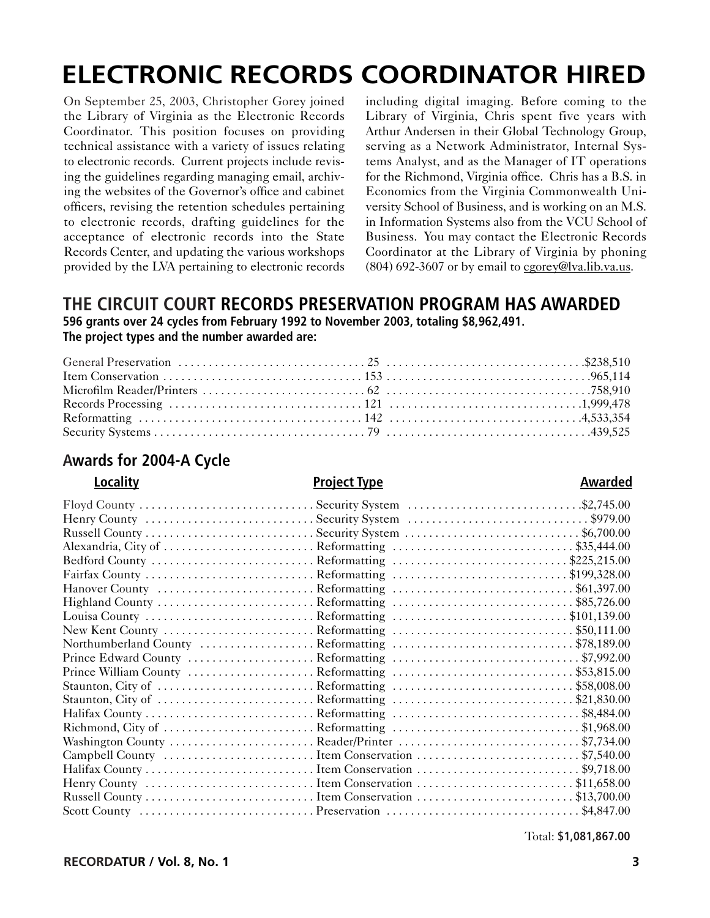## **ELECTRONIC RECORDS COORDINATOR HIRED**

On September 25, 2003, Christopher Gorey joined the Library of Virginia as the Electronic Records Coordinator. This position focuses on providing technical assistance with a variety of issues relating to electronic records. Current projects include revising the guidelines regarding managing email, archiving the websites of the Governor's office and cabinet officers, revising the retention schedules pertaining to electronic records, drafting guidelines for the acceptance of electronic records into the State Records Center, and updating the various workshops provided by the LVA pertaining to electronic records

including digital imaging. Before coming to the Library of Virginia, Chris spent five years with Arthur Andersen in their Global Technology Group, serving as a Network Administrator, Internal Systems Analyst, and as the Manager of IT operations for the Richmond, Virginia office. Chris has a B.S. in Economics from the Virginia Commonwealth University School of Business, and is working on an M.S. in Information Systems also from the VCU School of Business. You may contact the Electronic Records Coordinator at the Library of Virginia by phoning (804) 692-3607 or by email to cgorey@lva.lib.va.us.

#### **THE CIRCUIT COURT RECORDS PRESERVATION PROGRAM HAS AWARDED 596 grants over 24 cycles from February 1992 to November 2003, totaling \$8,962,491. The project types and the number awarded are:**

### **Awards for 2004-A Cycle**

#### **Locality Project Type Awarded**

#### Floyd County . . . . . . . . . . . . . . . . . . . . . . . . . . . . . Security System . . . . . . . . . . . . . . . . . . . . . . . . . . . . .\$2,745.00 Henry County . . . . . . . . . . . . . . . . . . . . . . . . . . . . Security System . . . . . . . . . . . . . . . . . . . . . . . . . . . . . . \$979.00 Russell County . . . . . . . . . . . . . . . . . . . . . . . . . . . . Security System . . . . . . . . . . . . . . . . . . . . . . . . . . . . . \$6,700.00 Alexandria, City of . . . . . . . . . . . . . . . . . . . . . . . . . Reformatting . . . . . . . . . . . . . . . . . . . . . . . . . . . . . . \$35,444.00 Bedford County . . . . . . . . . . . . . . . . . . . . . . . . . . . Reformatting . . . . . . . . . . . . . . . . . . . . . . . . . . . . . \$225,215.00 Fairfax County . . . . . . . . . . . . . . . . . . . . . . . . . . . . Reformatting . . . . . . . . . . . . . . . . . . . . . . . . . . . . . \$199,328.00 Hanover County . . . . . . . . . . . . . . . . . . . . . . . . . . Reformatting . . . . . . . . . . . . . . . . . . . . . . . . . . . . . . \$61,397.00 Highland County . . . . . . . . . . . . . . . . . . . . . . . . . . Reformatting . . . . . . . . . . . . . . . . . . . . . . . . . . . . . . \$85,726.00 Louisa County . . . . . . . . . . . . . . . . . . . . . . . . . . . . Reformatting . . . . . . . . . . . . . . . . . . . . . . . . . . . . . \$101,139.00 New Kent County . . . . . . . . . . . . . . . . . . . . . . . . . Reformatting . . . . . . . . . . . . . . . . . . . . . . . . . . . . . . \$50,111.00 Northumberland County . . . . . . . . . . . . . . . . . . . Reformatting . . . . . . . . . . . . . . . . . . . . . . . . . . . . . . \$78,189.00 Prince Edward County . . . . . . . . . . . . . . . . . . . . . Reformatting . . . . . . . . . . . . . . . . . . . . . . . . . . . . . . . \$7,992.00 Prince William County . . . . . . . . . . . . . . . . . . . . . Reformatting . . . . . . . . . . . . . . . . . . . . . . . . . . . . . . \$53,815.00 Staunton, City of . . . . . . . . . . . . . . . . . . . . . . . . . . Reformatting . . . . . . . . . . . . . . . . . . . . . . . . . . . . . . \$58,008.00 Staunton, City of . . . . . . . . . . . . . . . . . . . . . . . . . . Reformatting . . . . . . . . . . . . . . . . . . . . . . . . . . . . . . \$21,830.00 Halifax County . . . . . . . . . . . . . . . . . . . . . . . . . . . . Reformatting . . . . . . . . . . . . . . . . . . . . . . . . . . . . . . . \$8,484.00 Richmond, City of . . . . . . . . . . . . . . . . . . . . . . . . . Reformatting . . . . . . . . . . . . . . . . . . . . . . . . . . . . . . . \$1,968.00 Washington County . . . . . . . . . . . . . . . . . . . . . . . . Reader/Printer . . . . . . . . . . . . . . . . . . . . . . . . . . . . . . \$7,734.00 Campbell County . . . . . . . . . . . . . . . . . . . . . . . . . Item Conservation . . . . . . . . . . . . . . . . . . . . . . . . . . . \$7,540.00 Halifax County . . . . . . . . . . . . . . . . . . . . . . . . . . . . Item Conservation . . . . . . . . . . . . . . . . . . . . . . . . . . . \$9,718.00 Henry County . . . . . . . . . . . . . . . . . . . . . . . . . . . . Item Conservation . . . . . . . . . . . . . . . . . . . . . . . . . . \$11,658.00 Russell County . . . . . . . . . . . . . . . . . . . . . . . . . . . . Item Conservation . . . . . . . . . . . . . . . . . . . . . . . . . . \$13,700.00

Scott County . . . . . . . . . . . . . . . . . . . . . . . . . . . . . Preservation . . . . . . . . . . . . . . . . . . . . . . . . . . . . . . . . \$4,847.00

Total: **\$1,081,867.00**